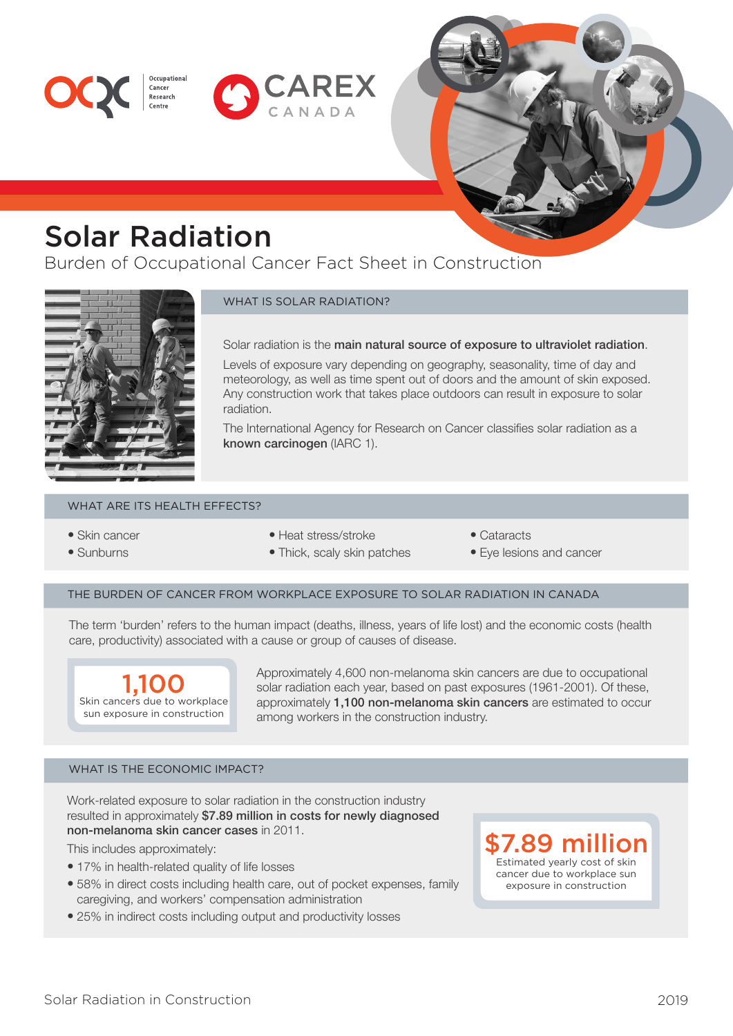



# Solar Radiation

Cancer<br>Research

Burden of Occupational Cancer Fact Sheet in Construction



# WHAT IS SOLAR RADIATION?

Solar radiation is the main natural source of exposure to ultraviolet radiation.

Levels of exposure vary depending on geography, seasonality, time of day and meteorology, as well as time spent out of doors and the amount of skin exposed. Any construction work that takes place outdoors can result in exposure to solar radiation.

The International Agency for Research on Cancer classifies solar radiation as a known carcinogen (IARC 1).

## WHAT ARE ITS HEALTH EFFECTS?

- Skin cancer
- Sunburns
- Heat stress/stroke
- Thick, scaly skin patches
- Cataracts
- Eye lesions and cancer

### THE BURDEN OF CANCER FROM WORKPLACE EXPOSURE TO SOLAR RADIATION IN CANADA

The term 'burden' refers to the human impact (deaths, illness, years of life lost) and the economic costs (health care, productivity) associated with a cause or group of causes of disease.



Approximately 4,600 non-melanoma skin cancers are due to occupational solar radiation each year, based on past exposures (1961-2001). Of these, approximately 1,100 non-melanoma skin cancers are estimated to occur among workers in the construction industry.

## WHAT IS THE ECONOMIC IMPACT?

Work-related exposure to solar radiation in the construction industry resulted in approximately \$7.89 million in costs for newly diagnosed non-melanoma skin cancer cases in 2011.

This includes approximately:

- 17% in health-related quality of life losses
- 58% in direct costs including health care, out of pocket expenses, family caregiving, and workers' compensation administration
- 25% in indirect costs including output and productivity losses

\$7.89 million Estimated yearly cost of skin cancer due to workplace sun exposure in construction